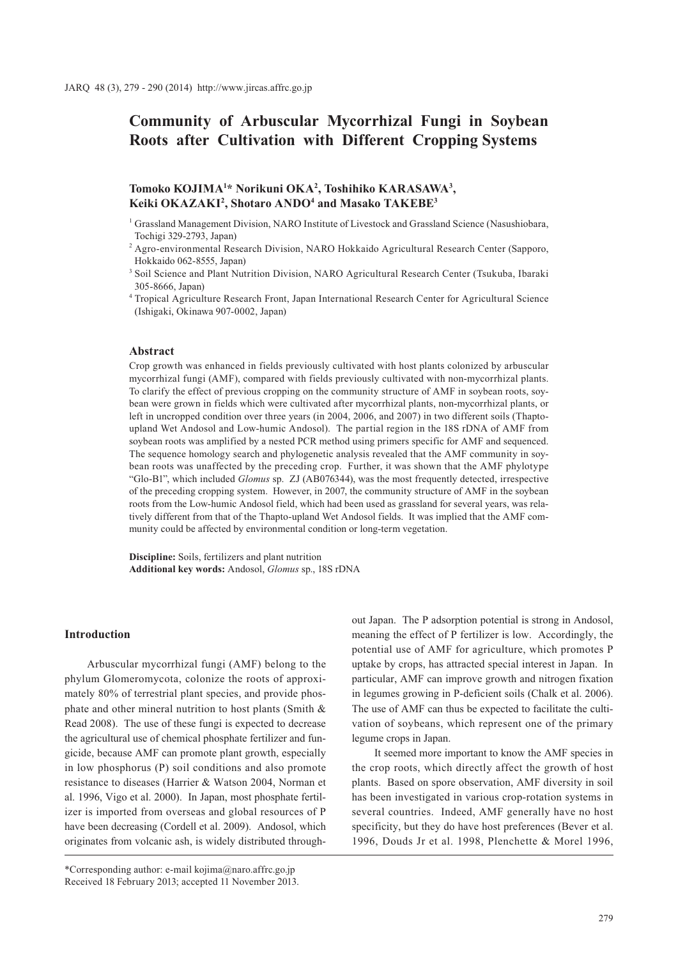# **Community of Arbuscular Mycorrhizal Fungi in Soybean Roots after Cultivation with Different Cropping Systems**

# **Tomoko KOJIMA1 \* Norikuni OKA2 , Toshihiko KARASAWA3 , Keiki OKAZAKI2 , Shotaro ANDO4 and Masako TAKEBE3**

- 1 Grassland Management Division, NARO Institute of Livestock and Grassland Science (Nasushiobara, Tochigi 329-2793, Japan)
- 2 Agro-environmental Research Division, NARO Hokkaido Agricultural Research Center (Sapporo, Hokkaido 062-8555, Japan)
- <sup>3</sup> Soil Science and Plant Nutrition Division, NARO Agricultural Research Center (Tsukuba, Ibaraki 305-8666, Japan)
- 4 Tropical Agriculture Research Front, Japan International Research Center for Agricultural Science (Ishigaki, Okinawa 907-0002, Japan)

### **Abstract**

Crop growth was enhanced in fields previously cultivated with host plants colonized by arbuscular mycorrhizal fungi (AMF), compared with fields previously cultivated with non-mycorrhizal plants. To clarify the effect of previous cropping on the community structure of AMF in soybean roots, soybean were grown in fields which were cultivated after mycorrhizal plants, non-mycorrhizal plants, or left in uncropped condition over three years (in 2004, 2006, and 2007) in two different soils (Thaptoupland Wet Andosol and Low-humic Andosol). The partial region in the 18S rDNA of AMF from soybean roots was amplified by a nested PCR method using primers specific for AMF and sequenced. The sequence homology search and phylogenetic analysis revealed that the AMF community in soybean roots was unaffected by the preceding crop. Further, it was shown that the AMF phylotype "Glo-B1", which included *Glomus* sp. ZJ (AB076344), was the most frequently detected, irrespective of the preceding cropping system. However, in 2007, the community structure of AMF in the soybean roots from the Low-humic Andosol field, which had been used as grassland for several years, was relatively different from that of the Thapto-upland Wet Andosol fields. It was implied that the AMF community could be affected by environmental condition or long-term vegetation.

**Discipline:** Soils, fertilizers and plant nutrition **Additional key words:** Andosol, *Glomus* sp., 18S rDNA

### **Introduction**

Arbuscular mycorrhizal fungi (AMF) belong to the phylum Glomeromycota, colonize the roots of approximately 80% of terrestrial plant species, and provide phosphate and other mineral nutrition to host plants (Smith & Read 2008). The use of these fungi is expected to decrease the agricultural use of chemical phosphate fertilizer and fungicide, because AMF can promote plant growth, especially in low phosphorus (P) soil conditions and also promote resistance to diseases (Harrier & Watson 2004, Norman et al. 1996, Vigo et al. 2000). In Japan, most phosphate fertilizer is imported from overseas and global resources of P have been decreasing (Cordell et al. 2009). Andosol, which originates from volcanic ash, is widely distributed throughout Japan. The P adsorption potential is strong in Andosol, meaning the effect of P fertilizer is low. Accordingly, the potential use of AMF for agriculture, which promotes P uptake by crops, has attracted special interest in Japan. In particular, AMF can improve growth and nitrogen fixation in legumes growing in P-deficient soils (Chalk et al. 2006). The use of AMF can thus be expected to facilitate the cultivation of soybeans, which represent one of the primary legume crops in Japan.

It seemed more important to know the AMF species in the crop roots, which directly affect the growth of host plants. Based on spore observation, AMF diversity in soil has been investigated in various crop-rotation systems in several countries. Indeed, AMF generally have no host specificity, but they do have host preferences (Bever et al. 1996, Douds Jr et al. 1998, Plenchette & Morel 1996,

<sup>\*</sup>Corresponding author: e-mail kojima@naro.affrc.go.jp Received 18 February 2013; accepted 11 November 2013.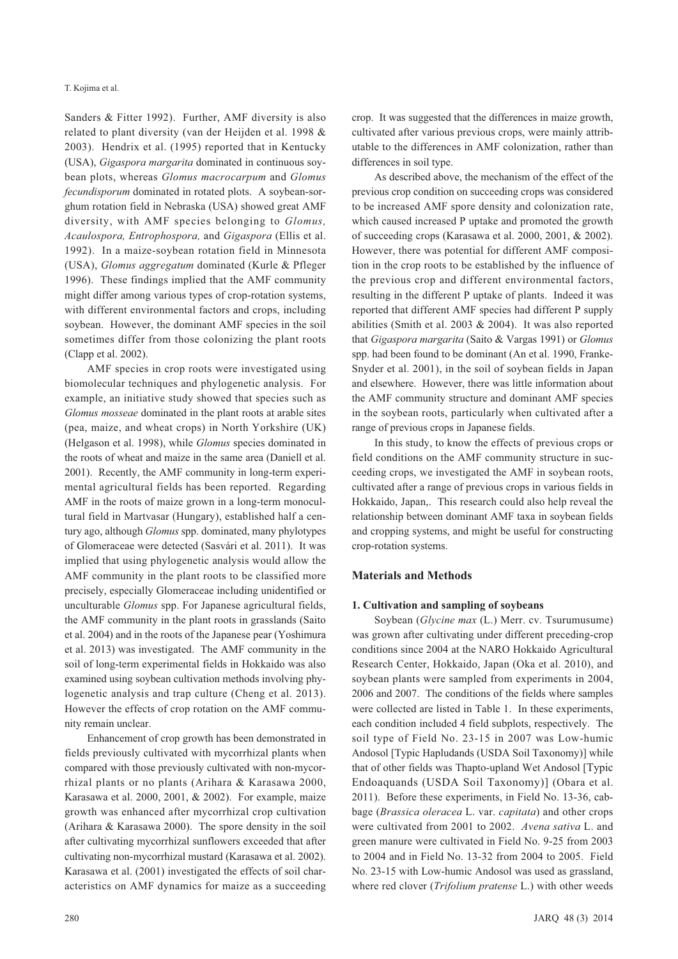Sanders & Fitter 1992). Further, AMF diversity is also related to plant diversity (van der Heijden et al. 1998 & 2003). Hendrix et al. (1995) reported that in Kentucky (USA), *Gigaspora margarita* dominated in continuous soybean plots, whereas *Glomus macrocarpum* and *Glomus fecundisporum* dominated in rotated plots. A soybean-sorghum rotation field in Nebraska (USA) showed great AMF diversity, with AMF species belonging to *Glomus, Acaulospora, Entrophospora,* and *Gigaspora* (Ellis et al. 1992). In a maize-soybean rotation field in Minnesota (USA), *Glomus aggregatum* dominated (Kurle & Pfleger 1996). These findings implied that the AMF community might differ among various types of crop-rotation systems, with different environmental factors and crops, including soybean. However, the dominant AMF species in the soil sometimes differ from those colonizing the plant roots (Clapp et al. 2002).

AMF species in crop roots were investigated using biomolecular techniques and phylogenetic analysis. For example, an initiative study showed that species such as *Glomus mosseae* dominated in the plant roots at arable sites (pea, maize, and wheat crops) in North Yorkshire (UK) (Helgason et al. 1998), while *Glomus* species dominated in the roots of wheat and maize in the same area (Daniell et al. 2001). Recently, the AMF community in long-term experimental agricultural fields has been reported. Regarding AMF in the roots of maize grown in a long-term monocultural field in Martvasar (Hungary), established half a century ago, although *Glomus* spp. dominated, many phylotypes of Glomeraceae were detected (Sasvári et al. 2011). It was implied that using phylogenetic analysis would allow the AMF community in the plant roots to be classified more precisely, especially Glomeraceae including unidentified or unculturable *Glomus* spp. For Japanese agricultural fields, the AMF community in the plant roots in grasslands (Saito et al. 2004) and in the roots of the Japanese pear (Yoshimura et al. 2013) was investigated. The AMF community in the soil of long-term experimental fields in Hokkaido was also examined using soybean cultivation methods involving phylogenetic analysis and trap culture (Cheng et al. 2013). However the effects of crop rotation on the AMF community remain unclear.

Enhancement of crop growth has been demonstrated in fields previously cultivated with mycorrhizal plants when compared with those previously cultivated with non-mycorrhizal plants or no plants (Arihara & Karasawa 2000, Karasawa et al. 2000, 2001, & 2002). For example, maize growth was enhanced after mycorrhizal crop cultivation (Arihara & Karasawa 2000). The spore density in the soil after cultivating mycorrhizal sunflowers exceeded that after cultivating non-mycorrhizal mustard (Karasawa et al. 2002). Karasawa et al. (2001) investigated the effects of soil characteristics on AMF dynamics for maize as a succeeding crop. It was suggested that the differences in maize growth, cultivated after various previous crops, were mainly attributable to the differences in AMF colonization, rather than differences in soil type.

As described above, the mechanism of the effect of the previous crop condition on succeeding crops was considered to be increased AMF spore density and colonization rate, which caused increased P uptake and promoted the growth of succeeding crops (Karasawa et al. 2000, 2001, & 2002). However, there was potential for different AMF composition in the crop roots to be established by the influence of the previous crop and different environmental factors, resulting in the different P uptake of plants. Indeed it was reported that different AMF species had different P supply abilities (Smith et al. 2003 & 2004). It was also reported that *Gigaspora margarita* (Saito & Vargas 1991) or *Glomus* spp. had been found to be dominant (An et al. 1990, Franke-Snyder et al. 2001), in the soil of soybean fields in Japan and elsewhere. However, there was little information about the AMF community structure and dominant AMF species in the soybean roots, particularly when cultivated after a range of previous crops in Japanese fields.

In this study, to know the effects of previous crops or field conditions on the AMF community structure in succeeding crops, we investigated the AMF in soybean roots, cultivated after a range of previous crops in various fields in Hokkaido, Japan,. This research could also help reveal the relationship between dominant AMF taxa in soybean fields and cropping systems, and might be useful for constructing crop-rotation systems.

### **Materials and Methods**

### **1. Cultivation and sampling of soybeans**

Soybean (*Glycine max* (L.) Merr. cv. Tsurumusume) was grown after cultivating under different preceding-crop conditions since 2004 at the NARO Hokkaido Agricultural Research Center, Hokkaido, Japan (Oka et al. 2010), and soybean plants were sampled from experiments in 2004, 2006 and 2007. The conditions of the fields where samples were collected are listed in Table 1. In these experiments, each condition included 4 field subplots, respectively. The soil type of Field No. 23-15 in 2007 was Low-humic Andosol [Typic Hapludands (USDA Soil Taxonomy)] while that of other fields was Thapto-upland Wet Andosol [Typic Endoaquands (USDA Soil Taxonomy)] (Obara et al. 2011). Before these experiments, in Field No. 13-36, cabbage (*Brassica oleracea* L. var. *capitata*) and other crops were cultivated from 2001 to 2002. *Avena sativa* L. and green manure were cultivated in Field No. 9-25 from 2003 to 2004 and in Field No. 13-32 from 2004 to 2005. Field No. 23-15 with Low-humic Andosol was used as grassland, where red clover (*Trifolium pratense* L.) with other weeds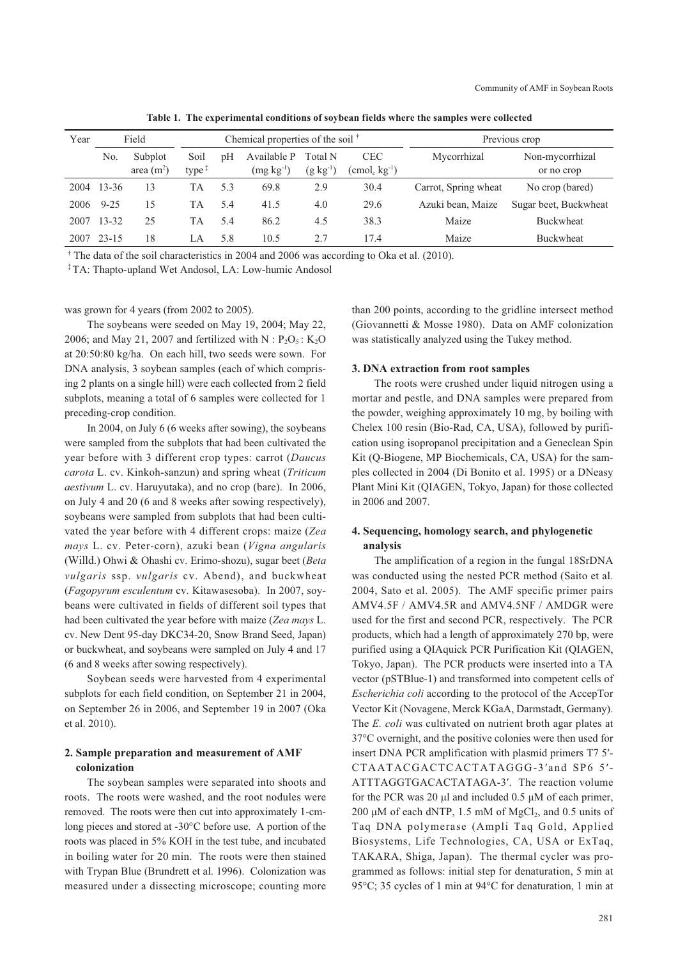| Year | Field     |                        | Chemical properties of the soil $†$ |     |                            |                             | Previous crop                                   |                      |                               |
|------|-----------|------------------------|-------------------------------------|-----|----------------------------|-----------------------------|-------------------------------------------------|----------------------|-------------------------------|
|      | No.       | Subplot<br>area $(m2)$ | Soil<br>type $\ddagger$             | pH  | Available P<br>$(mg kg-1)$ | Total N<br>$(g \, kg^{-1})$ | <b>CEC</b><br>$(\text{cmol}_c \text{ kg}^{-1})$ | Mycorrhizal          | Non-mycorrhizal<br>or no crop |
| 2004 | $13 - 36$ | 13                     | TА                                  | 5.3 | 69.8                       | 2.9                         | 30.4                                            | Carrot, Spring wheat | No crop (bared)               |
| 2006 | $9 - 25$  | 15                     | TA                                  | 5.4 | 41.5                       | 4.0                         | 29.6                                            | Azuki bean, Maize    | Sugar beet, Buckwheat         |
| 2007 | $13 - 32$ | 25                     | TА                                  | 5.4 | 86.2                       | 4.5                         | 38.3                                            | Maize                | <b>Buckwheat</b>              |
| 2007 | $23 - 15$ | 18                     | LA                                  | 5.8 | 10.5                       | 2.7                         | 17.4                                            | Maize                | <b>Buckwheat</b>              |

**Table 1. The experimental conditions of soybean fields where the samples were collected**

† The data of the soil characteristics in 2004 and 2006 was according to Oka et al. (2010).

‡ TA: Thapto-upland Wet Andosol, LA: Low-humic Andosol

was grown for 4 years (from 2002 to 2005).

The soybeans were seeded on May 19, 2004; May 22, 2006; and May 21, 2007 and fertilized with  $N : P_2O_5 : K_2O$ at 20:50:80 kg/ha. On each hill, two seeds were sown. For DNA analysis, 3 soybean samples (each of which comprising 2 plants on a single hill) were each collected from 2 field subplots, meaning a total of 6 samples were collected for 1 preceding-crop condition.

In 2004, on July 6 (6 weeks after sowing), the soybeans were sampled from the subplots that had been cultivated the year before with 3 different crop types: carrot (*Daucus carota* L. cv. Kinkoh-sanzun) and spring wheat (*Triticum aestivum* L. cv. Haruyutaka), and no crop (bare). In 2006, on July 4 and 20 (6 and 8 weeks after sowing respectively), soybeans were sampled from subplots that had been cultivated the year before with 4 different crops: maize (*Zea mays* L. cv. Peter-corn), azuki bean (*Vigna angularis* (Willd.) Ohwi & Ohashi cv. Erimo-shozu), sugar beet (*Beta vulgaris* ssp. *vulgaris* cv. Abend), and buckwheat (*Fagopyrum esculentum* cv. Kitawasesoba). In 2007, soybeans were cultivated in fields of different soil types that had been cultivated the year before with maize (*Zea mays* L. cv. New Dent 95-day DKC34-20, Snow Brand Seed, Japan) or buckwheat, and soybeans were sampled on July 4 and 17 (6 and 8 weeks after sowing respectively).

Soybean seeds were harvested from 4 experimental subplots for each field condition, on September 21 in 2004, on September 26 in 2006, and September 19 in 2007 (Oka et al. 2010).

# **2. Sample preparation and measurement of AMF colonization**

The soybean samples were separated into shoots and roots. The roots were washed, and the root nodules were removed. The roots were then cut into approximately 1-cmlong pieces and stored at -30°C before use. A portion of the roots was placed in 5% KOH in the test tube, and incubated in boiling water for 20 min. The roots were then stained with Trypan Blue (Brundrett et al. 1996). Colonization was measured under a dissecting microscope; counting more

than 200 points, according to the gridline intersect method (Giovannetti & Mosse 1980). Data on AMF colonization was statistically analyzed using the Tukey method.

### **3. DNA extraction from root samples**

The roots were crushed under liquid nitrogen using a mortar and pestle, and DNA samples were prepared from the powder, weighing approximately 10 mg, by boiling with Chelex 100 resin (Bio-Rad, CA, USA), followed by purification using isopropanol precipitation and a Geneclean Spin Kit (Q-Biogene, MP Biochemicals, CA, USA) for the samples collected in 2004 (Di Bonito et al. 1995) or a DNeasy Plant Mini Kit (QIAGEN, Tokyo, Japan) for those collected in 2006 and 2007.

# **4. Sequencing, homology search, and phylogenetic analysis**

The amplification of a region in the fungal 18SrDNA was conducted using the nested PCR method (Saito et al. 2004, Sato et al. 2005). The AMF specific primer pairs AMV4.5F / AMV4.5R and AMV4.5NF / AMDGR were used for the first and second PCR, respectively. The PCR products, which had a length of approximately 270 bp, were purified using a QIAquick PCR Purification Kit (QIAGEN, Tokyo, Japan). The PCR products were inserted into a TA vector (pSTBlue-1) and transformed into competent cells of *Escherichia coli* according to the protocol of the AccepTor Vector Kit (Novagene, Merck KGaA, Darmstadt, Germany). The *E. coli* was cultivated on nutrient broth agar plates at 37°C overnight, and the positive colonies were then used for insert DNA PCR amplification with plasmid primers T7 5′- CTAATACGACTCACTATAGGG-3′and SP6 5′- ATTTAGGTGACACTATAGA-3′. The reaction volume for the PCR was 20 μl and included 0.5 μM of each primer, 200 μM of each dNTP, 1.5 mM of  $MgCl<sub>2</sub>$ , and 0.5 units of Taq DNA polymerase (Ampli Taq Gold, Applied Biosystems, Life Technologies, CA, USA or ExTaq, TAKARA, Shiga, Japan). The thermal cycler was programmed as follows: initial step for denaturation, 5 min at 95°C; 35 cycles of 1 min at 94°C for denaturation, 1 min at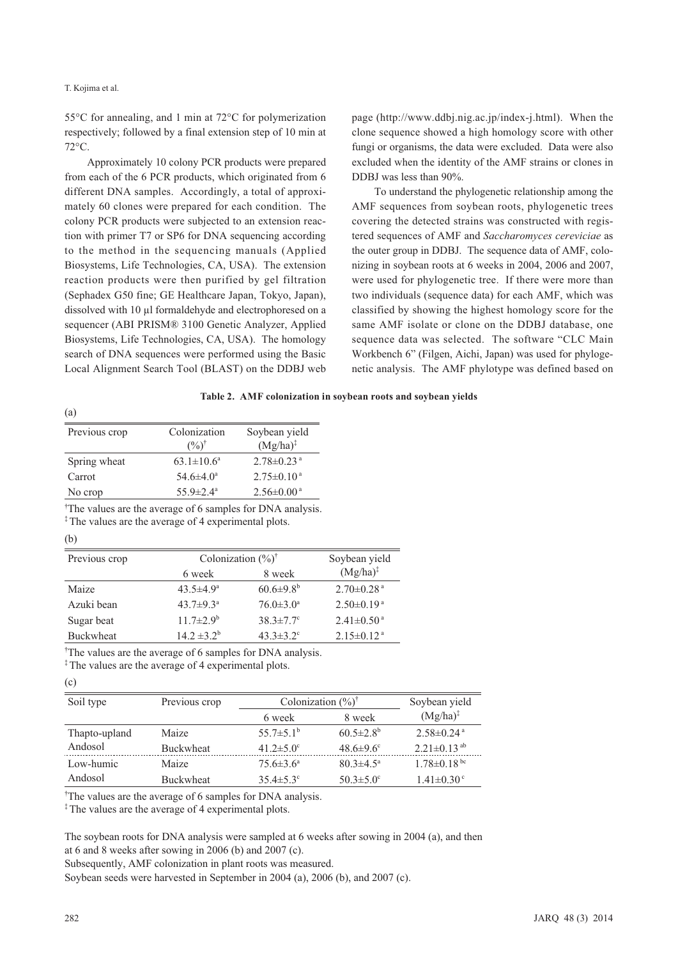55°C for annealing, and 1 min at 72°C for polymerization respectively; followed by a final extension step of 10 min at 72°C.

Approximately 10 colony PCR products were prepared from each of the 6 PCR products, which originated from 6 different DNA samples. Accordingly, a total of approximately 60 clones were prepared for each condition. The colony PCR products were subjected to an extension reaction with primer T7 or SP6 for DNA sequencing according to the method in the sequencing manuals (Applied Biosystems, Life Technologies, CA, USA). The extension reaction products were then purified by gel filtration (Sephadex G50 fine; GE Healthcare Japan, Tokyo, Japan), dissolved with 10 μl formaldehyde and electrophoresed on a sequencer (ABI PRISM® 3100 Genetic Analyzer, Applied Biosystems, Life Technologies, CA, USA). The homology search of DNA sequences were performed using the Basic Local Alignment Search Tool (BLAST) on the DDBJ web

page (http://www.ddbj.nig.ac.jp/index-j.html). When the clone sequence showed a high homology score with other fungi or organisms, the data were excluded. Data were also excluded when the identity of the AMF strains or clones in DDBJ was less than 90%.

To understand the phylogenetic relationship among the AMF sequences from soybean roots, phylogenetic trees covering the detected strains was constructed with registered sequences of AMF and *Saccharomyces cereviciae* as the outer group in DDBJ. The sequence data of AMF, colonizing in soybean roots at 6 weeks in 2004, 2006 and 2007, were used for phylogenetic tree. If there were more than two individuals (sequence data) for each AMF, which was classified by showing the highest homology score for the same AMF isolate or clone on the DDBJ database, one sequence data was selected. The software "CLC Main Workbench 6" (Filgen, Aichi, Japan) was used for phylogenetic analysis. The AMF phylotype was defined based on

| Table 2. AMF colonization in soybean roots and soybean yields |  |  |  |  |
|---------------------------------------------------------------|--|--|--|--|
|---------------------------------------------------------------|--|--|--|--|

| Previous crop | Colonization                | Soybean yield                |
|---------------|-----------------------------|------------------------------|
|               | $($ %) <sup>†</sup>         | $(Mg/ha)^{\ddagger}$         |
| Spring wheat  | $63.1 \pm 10.6^a$           | $2.78 \pm 0.23$ <sup>a</sup> |
| Carrot        | $54.6 \pm 4.0^a$            | $2.75 \pm 0.10^{\text{a}}$   |
| No crop       | $55.9 \pm 2.4^{\mathrm{a}}$ | $2.56 \pm 0.00^{\text{a}}$   |
|               |                             |                              |

† The values are the average of 6 samples for DNA analysis.

<sup>‡</sup>The values are the average of 4 experimental plots.

(c)

(a)

| Previous crop | Colonization $(\frac{6}{6})^{\dagger}$ |                             | Soybean yield                |
|---------------|----------------------------------------|-----------------------------|------------------------------|
|               | 6 week                                 | 8 week                      | $(Mg/ha)^{\ddagger}$         |
| Maize         | $43.5 \pm 4.9^{\circ}$                 | $60.6{\pm}9.8^b$            | $2.70 \pm 0.28$ <sup>a</sup> |
| Azuki bean    | $43.7 \pm 9.3^{\circ}$                 | $76.0 \pm 3.0^{\circ}$      | $2.50 \pm 0.19^{\text{a}}$   |
| Sugar beat    | $11.7 \pm 2.9^b$                       | $38.3 \pm 7.7$ °            | $2.41 \pm 0.50$ <sup>a</sup> |
| Buckwheat     | $14.2 \pm 3.2^b$                       | $43.3 \pm 3.2$ <sup>c</sup> | $2.15 \pm 0.12$ <sup>a</sup> |

† The values are the average of 6 samples for DNA analysis.

<sup>‡</sup>The values are the average of 4 experimental plots.

| Previous crop<br>Soil type |           | Colonization $(\frac{9}{6})^{\dagger}$ | Soybean yield               |                               |  |
|----------------------------|-----------|----------------------------------------|-----------------------------|-------------------------------|--|
|                            |           | 6 week                                 | 8 week                      | $(Mg/ha)^{\ddagger}$          |  |
| Thapto-upland              | Maize     | $55.7 \pm 5.1^{\circ}$                 | $60.5 \pm 2.8^b$            | $2.58 \pm 0.24$ <sup>a</sup>  |  |
| Andosol                    | Buckwheat | 41.2 $\pm$ 5.0 $^{\circ}$              | $48.6 \pm 9.6$ <sup>c</sup> | $2.21 \pm 0.13$ <sup>ab</sup> |  |
| Low-humic                  | Maize     | $75.6 \pm 3.6^{\circ}$                 | $80.3 \pm 4.5^{\circ}$      | $1.78 \pm 0.18$ bc            |  |
| Andosol                    | Buckwheat | $35.4 \pm 5.3$ °                       | $50.3 \pm 5.0$ °            | $1.41 \pm 0.30$ <sup>c</sup>  |  |

† The values are the average of 6 samples for DNA analysis.

‡ The values are the average of 4 experimental plots.

The soybean roots for DNA analysis were sampled at 6 weeks after sowing in 2004 (a), and then at 6 and 8 weeks after sowing in 2006 (b) and 2007 (c).

Subsequently, AMF colonization in plant roots was measured.

Soybean seeds were harvested in September in 2004 (a), 2006 (b), and 2007 (c).

<sup>(</sup>b)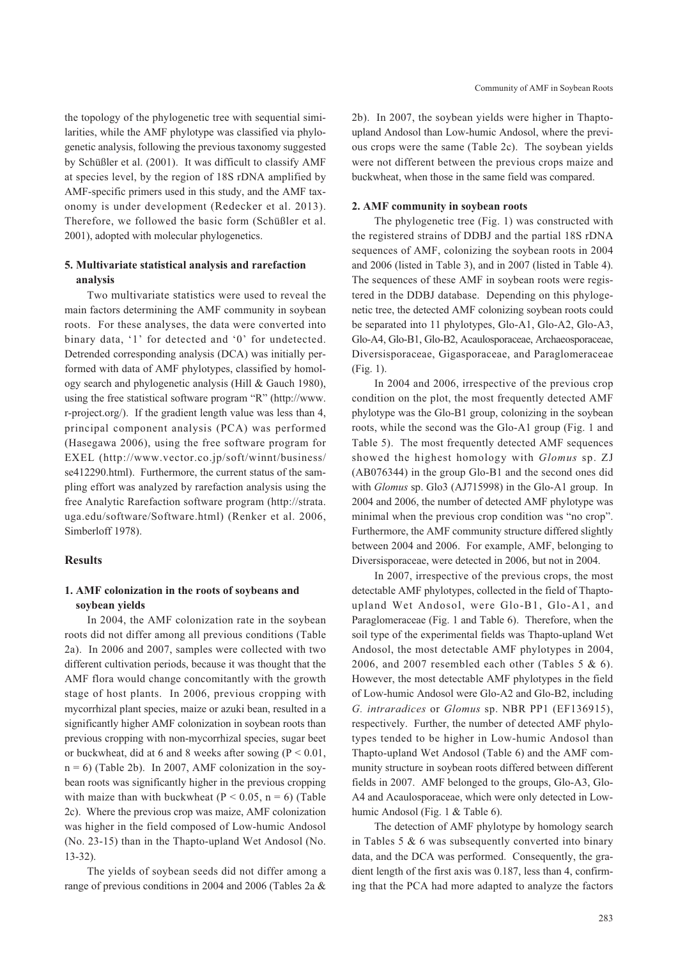the topology of the phylogenetic tree with sequential similarities, while the AMF phylotype was classified via phylogenetic analysis, following the previous taxonomy suggested by Schüßler et al. (2001). It was difficult to classify AMF at species level, by the region of 18S rDNA amplified by AMF-specific primers used in this study, and the AMF taxonomy is under development (Redecker et al. 2013). Therefore, we followed the basic form (Schüßler et al. 2001), adopted with molecular phylogenetics.

# **5. Multivariate statistical analysis and rarefaction analysis**

Two multivariate statistics were used to reveal the main factors determining the AMF community in soybean roots. For these analyses, the data were converted into binary data, '1' for detected and '0' for undetected. Detrended corresponding analysis (DCA) was initially performed with data of AMF phylotypes, classified by homology search and phylogenetic analysis (Hill & Gauch 1980), using the free statistical software program "R" (http://www. r-project.org/). If the gradient length value was less than 4, principal component analysis (PCA) was performed (Hasegawa 2006), using the free software program for EXEL (http://www.vector.co.jp/soft/winnt/business/ se412290.html). Furthermore, the current status of the sampling effort was analyzed by rarefaction analysis using the free Analytic Rarefaction software program (http://strata. uga.edu/software/Software.html) (Renker et al. 2006, Simberloff 1978).

### **Results**

# **1. AMF colonization in the roots of soybeans and soybean yields**

In 2004, the AMF colonization rate in the soybean roots did not differ among all previous conditions (Table 2a). In 2006 and 2007, samples were collected with two different cultivation periods, because it was thought that the AMF flora would change concomitantly with the growth stage of host plants. In 2006, previous cropping with mycorrhizal plant species, maize or azuki bean, resulted in a significantly higher AMF colonization in soybean roots than previous cropping with non-mycorrhizal species, sugar beet or buckwheat, did at 6 and 8 weeks after sowing ( $P < 0.01$ ,  $n = 6$ ) (Table 2b). In 2007, AMF colonization in the soybean roots was significantly higher in the previous cropping with maize than with buckwheat ( $P < 0.05$ ,  $n = 6$ ) (Table 2c). Where the previous crop was maize, AMF colonization was higher in the field composed of Low-humic Andosol (No. 23-15) than in the Thapto-upland Wet Andosol (No. 13-32).

The yields of soybean seeds did not differ among a range of previous conditions in 2004 and 2006 (Tables 2a &

2b). In 2007, the soybean yields were higher in Thaptoupland Andosol than Low-humic Andosol, where the previous crops were the same (Table 2c). The soybean yields were not different between the previous crops maize and buckwheat, when those in the same field was compared.

### **2. AMF community in soybean roots**

The phylogenetic tree (Fig. 1) was constructed with the registered strains of DDBJ and the partial 18S rDNA sequences of AMF, colonizing the soybean roots in 2004 and 2006 (listed in Table 3), and in 2007 (listed in Table 4). The sequences of these AMF in soybean roots were registered in the DDBJ database. Depending on this phylogenetic tree, the detected AMF colonizing soybean roots could be separated into 11 phylotypes, Glo-A1, Glo-A2, Glo-A3, Glo-A4, Glo-B1, Glo-B2, Acaulosporaceae, Archaeosporaceae, Diversisporaceae, Gigasporaceae, and Paraglomeraceae (Fig. 1).

In 2004 and 2006, irrespective of the previous crop condition on the plot, the most frequently detected AMF phylotype was the Glo-B1 group, colonizing in the soybean roots, while the second was the Glo-A1 group (Fig. 1 and Table 5). The most frequently detected AMF sequences showed the highest homology with *Glomus* sp. ZJ (AB076344) in the group Glo-B1 and the second ones did with *Glomus* sp. Glo3 (AJ715998) in the Glo-A1 group. In 2004 and 2006, the number of detected AMF phylotype was minimal when the previous crop condition was "no crop". Furthermore, the AMF community structure differed slightly between 2004 and 2006. For example, AMF, belonging to Diversisporaceae, were detected in 2006, but not in 2004.

In 2007, irrespective of the previous crops, the most detectable AMF phylotypes, collected in the field of Thaptoupland Wet Andosol, were Glo-B1, Glo-A1, and Paraglomeraceae (Fig. 1 and Table 6). Therefore, when the soil type of the experimental fields was Thapto-upland Wet Andosol, the most detectable AMF phylotypes in 2004, 2006, and 2007 resembled each other (Tables 5 & 6). However, the most detectable AMF phylotypes in the field of Low-humic Andosol were Glo-A2 and Glo-B2, including *G. intraradices* or *Glomus* sp. NBR PP1 (EF136915), respectively. Further, the number of detected AMF phylotypes tended to be higher in Low-humic Andosol than Thapto-upland Wet Andosol (Table 6) and the AMF community structure in soybean roots differed between different fields in 2007. AMF belonged to the groups, Glo-A3, Glo-A4 and Acaulosporaceae, which were only detected in Lowhumic Andosol (Fig. 1 & Table 6).

The detection of AMF phylotype by homology search in Tables 5 & 6 was subsequently converted into binary data, and the DCA was performed. Consequently, the gradient length of the first axis was 0.187, less than 4, confirming that the PCA had more adapted to analyze the factors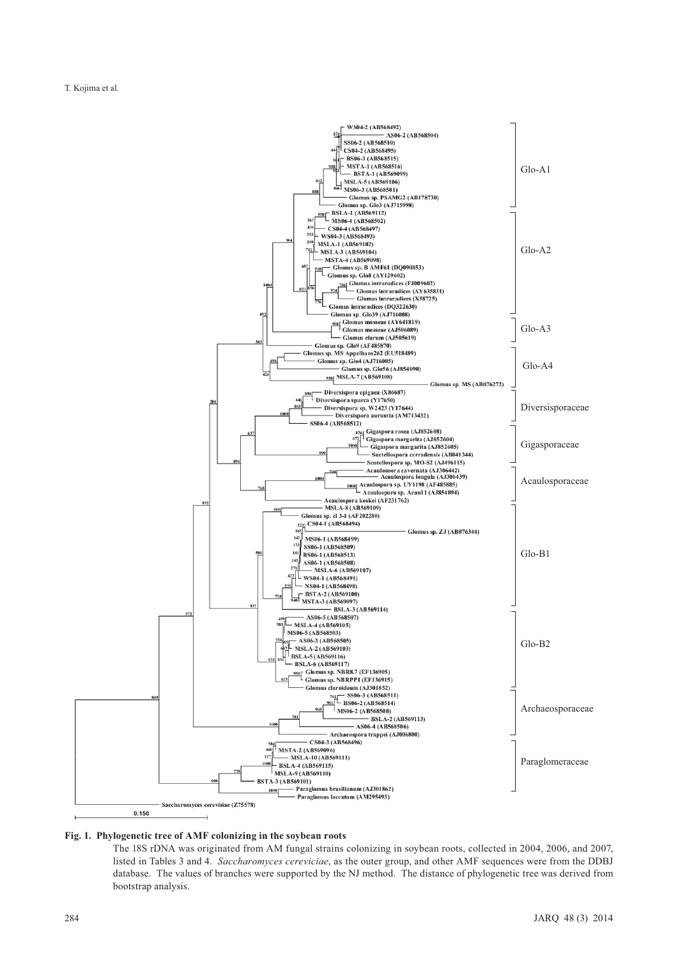

#### **Fig. 1. Phylogenetic tree of AMF colonizing in the soybean roots**

The 18S rDNA was originated from AM fungal strains colonizing in soybean roots, collected in 2004, 2006, and 2007, listed in Tables 3 and 4. *Saccharomyces cereviciae*, as the outer group, and other AMF sequences were from the DDBJ database. The values of branches were supported by the NJ method. The distance of phylogenetic tree was derived from bootstrap analysis.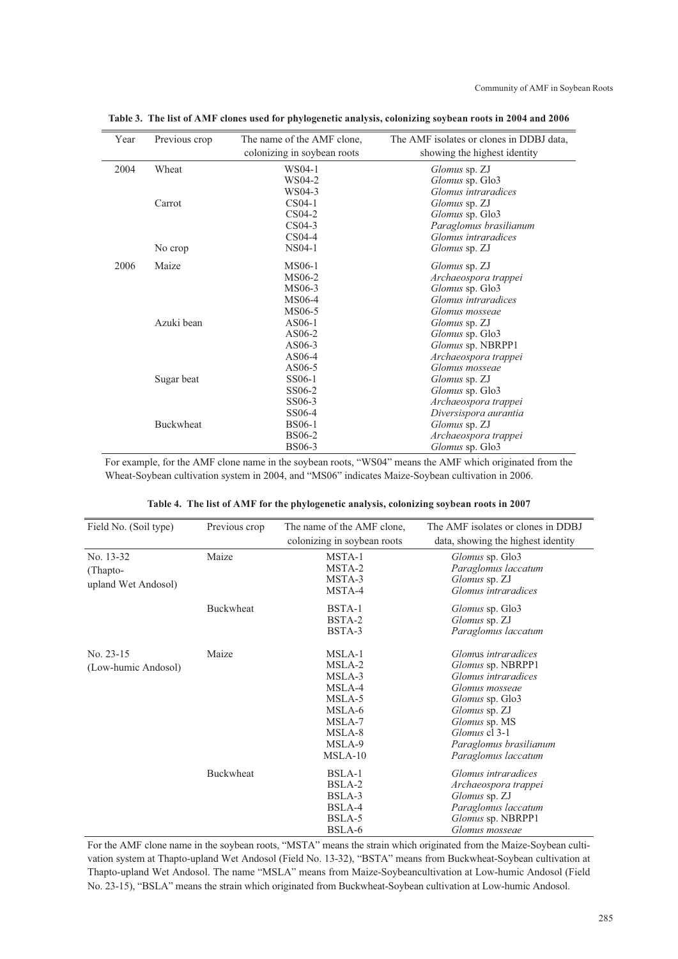| Year | Previous crop    | The name of the AMF clone,  | The AMF isolates or clones in DDBJ data, |
|------|------------------|-----------------------------|------------------------------------------|
|      |                  | colonizing in soybean roots | showing the highest identity             |
| 2004 | Wheat            | WS04-1                      | <i>Glomus</i> sp. ZJ                     |
|      |                  | WS04-2                      | Glomus sp. Glo3                          |
|      |                  | WS04-3                      | Glomus intraradices                      |
|      | Carrot           | $CS04-1$                    | Glomus sp. ZJ                            |
|      |                  | CS04-2                      | Glomus sp. Glo3                          |
|      |                  | CS04-3                      | Paraglomus brasilianum                   |
|      |                  | $CS04-4$                    | Glomus intraradices                      |
|      | No crop          | NS04-1                      | <i>Glomus</i> sp. ZJ                     |
| 2006 | Maize            | MS06-1                      | <i>Glomus</i> sp. ZJ                     |
|      |                  | MS06-2                      | Archaeospora trappei                     |
|      |                  | MS06-3                      | Glomus sp. Glo3                          |
|      |                  | MS06-4                      | Glomus intraradices                      |
|      |                  | MS06-5                      | Glomus mosseae                           |
|      | Azuki bean       | AS06-1                      | <i>Glomus</i> sp. ZJ                     |
|      |                  | AS06-2                      | Glomus sp. Glo3                          |
|      |                  | AS06-3                      | Glomus sp. NBRPP1                        |
|      |                  | AS06-4                      | Archaeospora trappei                     |
|      |                  | AS06-5                      | Glomus mosseae                           |
|      | Sugar beat       | SS06-1                      | <i>Glomus</i> sp. ZJ                     |
|      |                  | SS06-2                      | Glomus sp. Glo3                          |
|      |                  | SS06-3                      | Archaeospora trappei                     |
|      |                  | SS06-4                      | Diversispora aurantia                    |
|      | <b>Buckwheat</b> | <b>BS06-1</b>               | Glomus sp. ZJ                            |
|      |                  | <b>BS06-2</b>               | Archaeospora trappei                     |
|      |                  | <b>BS06-3</b>               | Glomus sp. Glo3                          |

**Table 3. The list of AMF clones used for phylogenetic analysis, colonizing soybean roots in 2004 and 2006**

For example, for the AMF clone name in the soybean roots, "WS04" means the AMF which originated from the Wheat-Soybean cultivation system in 2004, and "MS06" indicates Maize-Soybean cultivation in 2006.

|  |  | Table 4. The list of AMF for the phylogenetic analysis, colonizing soybean roots in 2007 |
|--|--|------------------------------------------------------------------------------------------|
|  |  |                                                                                          |

| Field No. (Soil type)                        | Previous crop    | The name of the AMF clone,                                                                          | The AMF isolates or clones in DDBJ                                                                                                                                                                              |
|----------------------------------------------|------------------|-----------------------------------------------------------------------------------------------------|-----------------------------------------------------------------------------------------------------------------------------------------------------------------------------------------------------------------|
|                                              |                  | colonizing in soybean roots                                                                         | data, showing the highest identity                                                                                                                                                                              |
| No. 13-32<br>(Thapto-<br>upland Wet Andosol) | Maize            | MSTA-1<br>MSTA-2<br>MSTA-3<br>MSTA-4                                                                | <i>Glomus</i> sp. Glo3<br>Paraglomus laccatum<br><i>Glomus</i> sp. ZJ<br>Glomus intraradices                                                                                                                    |
|                                              | <b>Buckwheat</b> | BSTA-1<br>BSTA-2<br>BSTA-3                                                                          | <i>Glomus</i> sp. Glo3<br>Glomus sp. ZJ<br>Paraglomus laccatum                                                                                                                                                  |
| No. $23-15$<br>(Low-humic Andosol)           | Maize            | MSLA-1<br>MSLA-2<br>MSLA-3<br>MSLA-4<br>MSLA-5<br>MSLA-6<br>MSLA-7<br>MSLA-8<br>MSLA-9<br>$MSLA-10$ | Glomus intraradices<br>Glomus sp. NBRPP1<br>Glomus intraradices<br>Glomus mosseae<br><i>Glomus</i> sp. Glo3<br>Glomus sp. ZJ<br>Glomus sp. MS<br>Glomus cl 3-1<br>Paraglomus brasilianum<br>Paraglomus laccatum |
|                                              | <b>Buckwheat</b> | BSLA-1<br>BSLA-2<br>BSLA-3<br>BSLA-4<br>BSLA-5<br>BSLA-6                                            | Glomus intraradices<br>Archaeospora trappei<br>Glomus sp. ZJ<br>Paraglomus laccatum<br><i>Glomus</i> sp. NBRPP1<br>Glomus mosseae                                                                               |

For the AMF clone name in the soybean roots, "MSTA" means the strain which originated from the Maize-Soybean cultivation system at Thapto-upland Wet Andosol (Field No. 13-32), "BSTA" means from Buckwheat-Soybean cultivation at Thapto-upland Wet Andosol. The name "MSLA" means from Maize-Soybeancultivation at Low-humic Andosol (Field No. 23-15), "BSLA" means the strain which originated from Buckwheat-Soybean cultivation at Low-humic Andosol.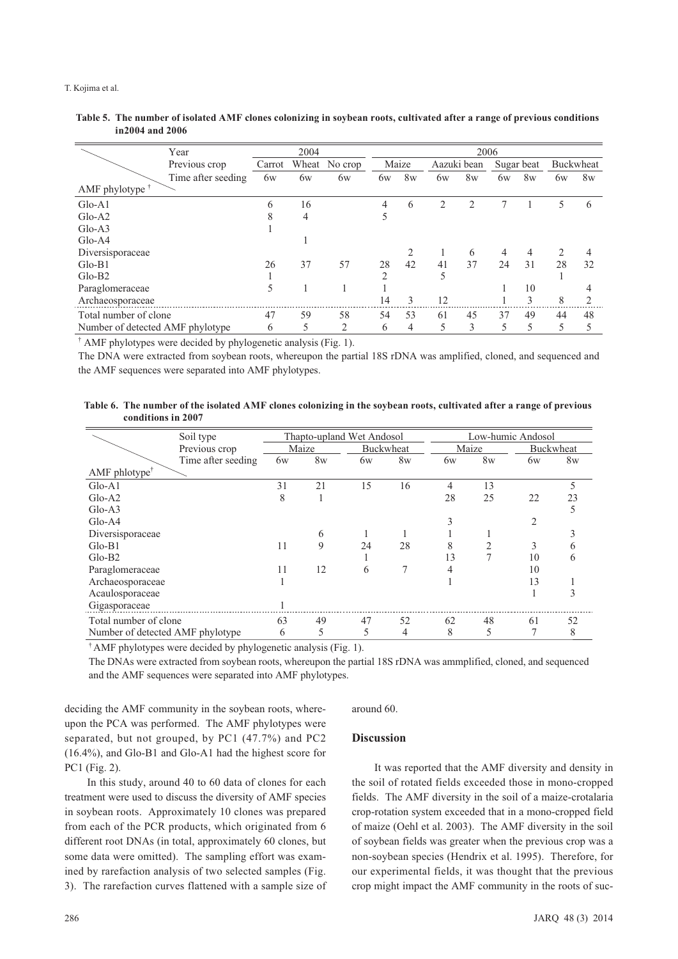|                                  | Year               |        | 2006 |                |               |                |    |                |    |                |                |                |
|----------------------------------|--------------------|--------|------|----------------|---------------|----------------|----|----------------|----|----------------|----------------|----------------|
|                                  | Previous crop      | Carrot |      | Wheat No crop  |               | Maize          |    | Aazuki bean    |    | Sugar beat     |                | Buckwheat      |
|                                  | Time after seeding | 6w     | 6w   | 6w             | 6w            | 8 <sub>W</sub> | 6w | 8 <sub>W</sub> | 6w | 8 <sub>W</sub> | 6w             | 8 <sub>W</sub> |
| AMF phylotype $†$                |                    |        |      |                |               |                |    |                |    |                |                |                |
| $Glo-A1$                         |                    | 6      | 16   |                | 4             | 6              | 2  | $\overline{c}$ | 7  |                | 5              | 6              |
| $Glo-A2$                         |                    | 8      | 4    |                | 5             |                |    |                |    |                |                |                |
| $Glo-AA3$                        |                    |        |      |                |               |                |    |                |    |                |                |                |
| $Glo-AA$                         |                    |        |      |                |               |                |    |                |    |                |                |                |
| Diversisporaceae                 |                    |        |      |                |               |                |    | 6              | 4  | 4              | $\overline{2}$ | 4              |
| $Glo-B1$                         |                    | 26     | 37   | 57             | 28            | 42             | 41 | 37             | 24 | 31             | 28             | 32             |
| $Glo-B2$                         |                    |        |      |                | $\mathcal{D}$ |                |    |                |    |                |                |                |
| Paraglomeraceae                  |                    | 5      |      |                |               |                |    |                |    | 10             |                |                |
| Archaeosporaceae                 |                    |        |      |                | 14            | 3              | 12 |                |    | 3              | 8              | 2              |
| Total number of clone            |                    | 47     | 59   | 58             | 54            | 53             | 61 | 45             | 37 | 49             | 44             | 48             |
| Number of detected AMF phylotype |                    | 6      | 5    | $\overline{2}$ | 6             | 4              | 5  | 3              | 5  | 5              | 5              |                |

### **Table 5. The number of isolated AMF clones colonizing in soybean roots, cultivated after a range of previous conditions in2004 and 2006**

† AMF phylotypes were decided by phylogenetic analysis (Fig. 1).

The DNA were extracted from soybean roots, whereupon the partial 18S rDNA was amplified, cloned, and sequenced and the AMF sequences were separated into AMF phylotypes.

### **Table 6. The number of the isolated AMF clones colonizing in the soybean roots, cultivated after a range of previous conditions in 2007**

|                                                 | Soil type          | Thapto-upland Wet Andosol |                |    |                  | Low-humic Andosol |                |                |                  |
|-------------------------------------------------|--------------------|---------------------------|----------------|----|------------------|-------------------|----------------|----------------|------------------|
|                                                 | Previous crop      |                           | Maize          |    | <b>Buckwheat</b> |                   | Maize          |                | <b>Buckwheat</b> |
|                                                 | Time after seeding | 6w                        | 8 <sub>W</sub> | 6w | 8 <sub>W</sub>   | 6w                | 8 <sub>W</sub> | 6w             | 8 <sub>W</sub>   |
| $AMF$ phlotype <sup><math>\uparrow</math></sup> |                    |                           |                |    |                  |                   |                |                |                  |
| $Glo-A1$                                        |                    | 31                        | 21             | 15 | 16               | 4                 | 13             |                | 5                |
| $Glo-A2$                                        |                    | 8                         |                |    |                  | 28                | 25             | 22             | 23               |
| $Glo-AA3$                                       |                    |                           |                |    |                  |                   |                |                |                  |
| $Glo-A4$                                        |                    |                           |                |    |                  |                   |                | $\overline{2}$ |                  |
| Diversisporaceae                                |                    |                           | 6              |    |                  |                   |                |                |                  |
| $Glo-B1$                                        |                    | 11                        | 9              | 24 | 28               | 8                 | $\mathfrak{D}$ | 3              | 6                |
| $Glo-B2$                                        |                    |                           |                |    |                  | 13                | 7              | 10             | 6                |
| Paraglomeraceae                                 |                    | 11                        | 12             | 6  | 7                |                   |                | 10             |                  |
| Archaeosporaceae                                |                    |                           |                |    |                  |                   |                | 13             |                  |
| Acaulosporaceae                                 |                    |                           |                |    |                  |                   |                |                |                  |
| Gigasporaceae                                   |                    |                           |                |    |                  |                   |                |                |                  |
| Total number of clone                           |                    | 63                        | 49             | 47 | 52               | 62                | 48             | 61             | 52               |
| Number of detected AMF phylotype                |                    | 6                         | 5              | 5  | 4                | 8                 | 5              |                | 8                |

† AMF phylotypes were decided by phylogenetic analysis (Fig. 1).

The DNAs were extracted from soybean roots, whereupon the partial 18S rDNA was ammplified, cloned, and sequenced and the AMF sequences were separated into AMF phylotypes.

deciding the AMF community in the soybean roots, whereupon the PCA was performed. The AMF phylotypes were separated, but not grouped, by PC1 (47.7%) and PC2 (16.4%), and Glo-B1 and Glo-A1 had the highest score for PC1 (Fig. 2).

In this study, around 40 to 60 data of clones for each treatment were used to discuss the diversity of AMF species in soybean roots. Approximately 10 clones was prepared from each of the PCR products, which originated from 6 different root DNAs (in total, approximately 60 clones, but some data were omitted). The sampling effort was examined by rarefaction analysis of two selected samples (Fig. 3). The rarefaction curves flattened with a sample size of around 60.

# **Discussion**

It was reported that the AMF diversity and density in the soil of rotated fields exceeded those in mono-cropped fields. The AMF diversity in the soil of a maize-crotalaria crop-rotation system exceeded that in a mono-cropped field of maize (Oehl et al. 2003). The AMF diversity in the soil of soybean fields was greater when the previous crop was a non-soybean species (Hendrix et al. 1995). Therefore, for our experimental fields, it was thought that the previous crop might impact the AMF community in the roots of suc-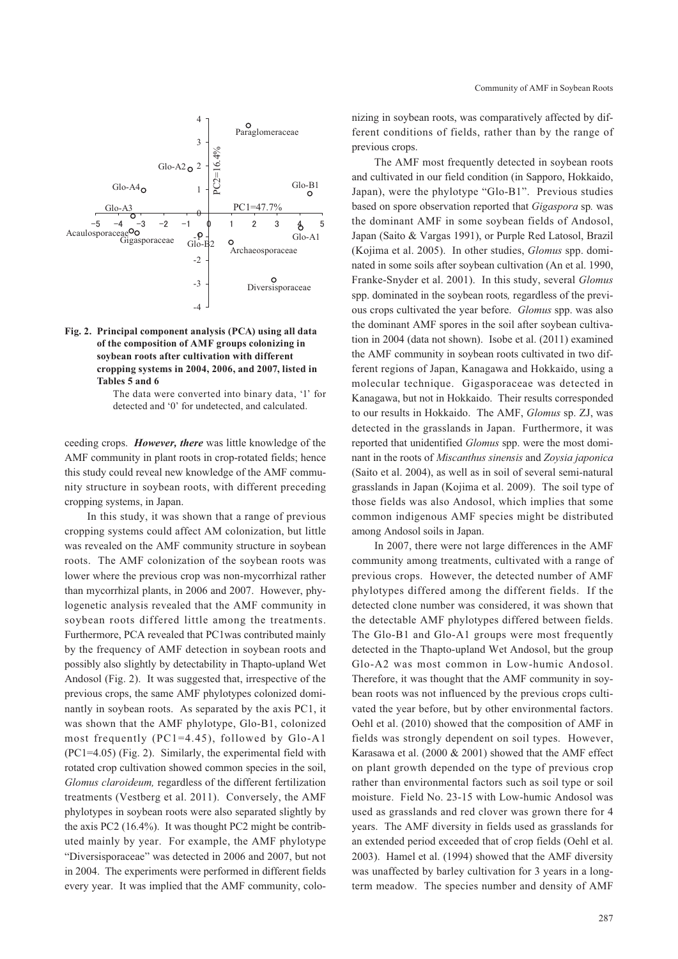



The data were converted into binary data, '1' for detected and '0' for undetected, and calculated.

ceeding crops. *However, there* was little knowledge of the AMF community in plant roots in crop-rotated fields; hence this study could reveal new knowledge of the AMF community structure in soybean roots, with different preceding cropping systems, in Japan.

In this study, it was shown that a range of previous cropping systems could affect AM colonization, but little was revealed on the AMF community structure in soybean roots. The AMF colonization of the soybean roots was lower where the previous crop was non-mycorrhizal rather than mycorrhizal plants, in 2006 and 2007. However, phylogenetic analysis revealed that the AMF community in soybean roots differed little among the treatments. Furthermore, PCA revealed that PC1was contributed mainly by the frequency of AMF detection in soybean roots and possibly also slightly by detectability in Thapto-upland Wet Andosol (Fig. 2). It was suggested that, irrespective of the previous crops, the same AMF phylotypes colonized dominantly in soybean roots. As separated by the axis PC1, it was shown that the AMF phylotype, Glo-B1, colonized most frequently (PC1=4.45), followed by Glo-A1 (PC1=4.05) (Fig. 2). Similarly, the experimental field with rotated crop cultivation showed common species in the soil, *Glomus claroideum,* regardless of the different fertilization treatments (Vestberg et al. 2011). Conversely, the AMF phylotypes in soybean roots were also separated slightly by the axis PC2 (16.4%). It was thought PC2 might be contributed mainly by year. For example, the AMF phylotype "Diversisporaceae" was detected in 2006 and 2007, but not in 2004. The experiments were performed in different fields every year. It was implied that the AMF community, colonizing in soybean roots, was comparatively affected by different conditions of fields, rather than by the range of previous crops.

The AMF most frequently detected in soybean roots and cultivated in our field condition (in Sapporo, Hokkaido, Japan), were the phylotype "Glo-B1". Previous studies based on spore observation reported that *Gigaspora* sp*.* was the dominant AMF in some soybean fields of Andosol, Japan (Saito & Vargas 1991), or Purple Red Latosol, Brazil (Kojima et al. 2005). In other studies, *Glomus* spp. dominated in some soils after soybean cultivation (An et al. 1990, Franke-Snyder et al. 2001). In this study, several *Glomus* spp. dominated in the soybean roots*,* regardless of the previous crops cultivated the year before. *Glomus* spp. was also the dominant AMF spores in the soil after soybean cultivation in 2004 (data not shown). Isobe et al. (2011) examined the AMF community in soybean roots cultivated in two different regions of Japan, Kanagawa and Hokkaido, using a molecular technique. Gigasporaceae was detected in Kanagawa, but not in Hokkaido. Their results corresponded to our results in Hokkaido. The AMF, *Glomus* sp. ZJ, was detected in the grasslands in Japan. Furthermore, it was reported that unidentified *Glomus* spp. were the most dominant in the roots of *Miscanthus sinensis* and *Zoysia japonica* (Saito et al. 2004), as well as in soil of several semi-natural grasslands in Japan (Kojima et al. 2009). The soil type of those fields was also Andosol, which implies that some common indigenous AMF species might be distributed among Andosol soils in Japan.

In 2007, there were not large differences in the AMF community among treatments, cultivated with a range of previous crops. However, the detected number of AMF phylotypes differed among the different fields. If the detected clone number was considered, it was shown that the detectable AMF phylotypes differed between fields. The Glo-B1 and Glo-A1 groups were most frequently detected in the Thapto-upland Wet Andosol, but the group Glo-A2 was most common in Low-humic Andosol. Therefore, it was thought that the AMF community in soybean roots was not influenced by the previous crops cultivated the year before, but by other environmental factors. Oehl et al. (2010) showed that the composition of AMF in fields was strongly dependent on soil types. However, Karasawa et al. (2000 & 2001) showed that the AMF effect on plant growth depended on the type of previous crop rather than environmental factors such as soil type or soil moisture. Field No. 23-15 with Low-humic Andosol was used as grasslands and red clover was grown there for 4 years. The AMF diversity in fields used as grasslands for an extended period exceeded that of crop fields (Oehl et al. 2003). Hamel et al. (1994) showed that the AMF diversity was unaffected by barley cultivation for 3 years in a longterm meadow. The species number and density of AMF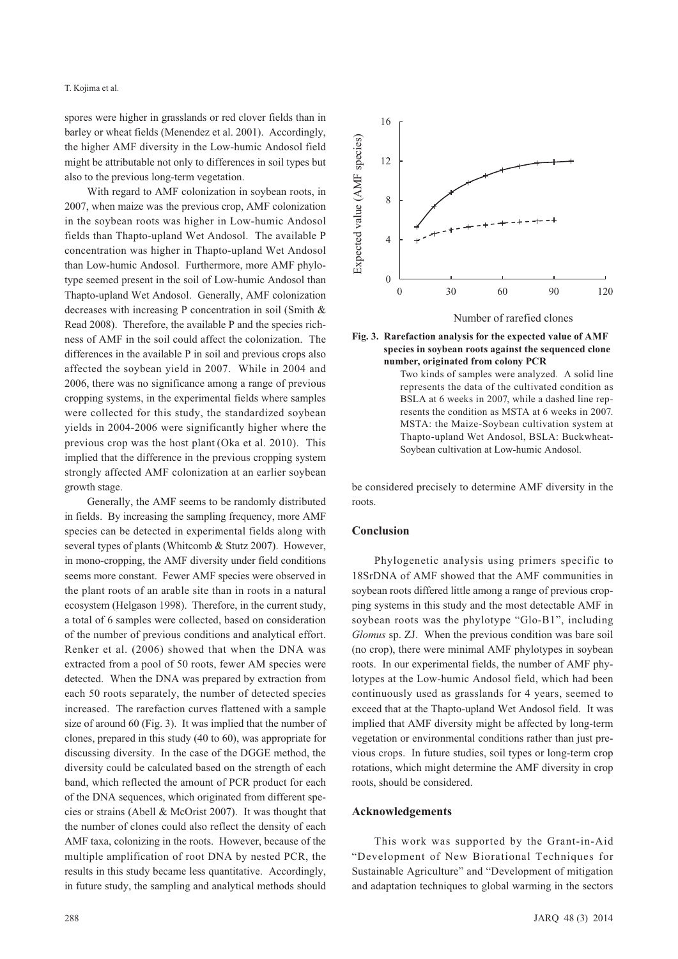spores were higher in grasslands or red clover fields than in barley or wheat fields (Menendez et al. 2001). Accordingly, the higher AMF diversity in the Low-humic Andosol field might be attributable not only to differences in soil types but also to the previous long-term vegetation.

With regard to AMF colonization in soybean roots, in 2007, when maize was the previous crop, AMF colonization in the soybean roots was higher in Low-humic Andosol fields than Thapto-upland Wet Andosol. The available P concentration was higher in Thapto-upland Wet Andosol than Low-humic Andosol. Furthermore, more AMF phylotype seemed present in the soil of Low-humic Andosol than Thapto-upland Wet Andosol. Generally, AMF colonization decreases with increasing P concentration in soil (Smith & Read 2008). Therefore, the available P and the species richness of AMF in the soil could affect the colonization. The differences in the available P in soil and previous crops also affected the soybean yield in 2007. While in 2004 and 2006, there was no significance among a range of previous cropping systems, in the experimental fields where samples were collected for this study, the standardized soybean yields in 2004-2006 were significantly higher where the previous crop was the host plant (Oka et al. 2010). This implied that the difference in the previous cropping system strongly affected AMF colonization at an earlier soybean growth stage.

Generally, the AMF seems to be randomly distributed in fields. By increasing the sampling frequency, more AMF species can be detected in experimental fields along with several types of plants (Whitcomb & Stutz 2007). However, in mono-cropping, the AMF diversity under field conditions seems more constant. Fewer AMF species were observed in the plant roots of an arable site than in roots in a natural ecosystem (Helgason 1998). Therefore, in the current study, a total of 6 samples were collected, based on consideration of the number of previous conditions and analytical effort. Renker et al. (2006) showed that when the DNA was extracted from a pool of 50 roots, fewer AM species were detected. When the DNA was prepared by extraction from each 50 roots separately, the number of detected species increased. The rarefaction curves flattened with a sample size of around 60 (Fig. 3). It was implied that the number of clones, prepared in this study (40 to 60), was appropriate for discussing diversity. In the case of the DGGE method, the diversity could be calculated based on the strength of each band, which reflected the amount of PCR product for each of the DNA sequences, which originated from different species or strains (Abell & McOrist 2007). It was thought that the number of clones could also reflect the density of each AMF taxa, colonizing in the roots. However, because of the multiple amplification of root DNA by nested PCR, the results in this study became less quantitative. Accordingly, in future study, the sampling and analytical methods should





**number, originated from colony PCR**  Two kinds of samples were analyzed. A solid line represents the data of the cultivated condition as BSLA at 6 weeks in 2007, while a dashed line represents the condition as MSTA at 6 weeks in 2007. MSTA: the Maize-Soybean cultivation system at Thapto-upland Wet Andosol, BSLA: Buckwheat-Soybean cultivation at Low-humic Andosol.

be considered precisely to determine AMF diversity in the roots.

## **Conclusion**

Phylogenetic analysis using primers specific to 18SrDNA of AMF showed that the AMF communities in soybean roots differed little among a range of previous cropping systems in this study and the most detectable AMF in soybean roots was the phylotype "Glo-B1", including *Glomus* sp. ZJ. When the previous condition was bare soil (no crop), there were minimal AMF phylotypes in soybean roots. In our experimental fields, the number of AMF phylotypes at the Low-humic Andosol field, which had been continuously used as grasslands for 4 years, seemed to exceed that at the Thapto-upland Wet Andosol field. It was implied that AMF diversity might be affected by long-term vegetation or environmental conditions rather than just previous crops. In future studies, soil types or long-term crop rotations, which might determine the AMF diversity in crop roots, should be considered.

### **Acknowledgements**

This work was supported by the Grant-in-Aid "Development of New Biorational Techniques for Sustainable Agriculture" and "Development of mitigation and adaptation techniques to global warming in the sectors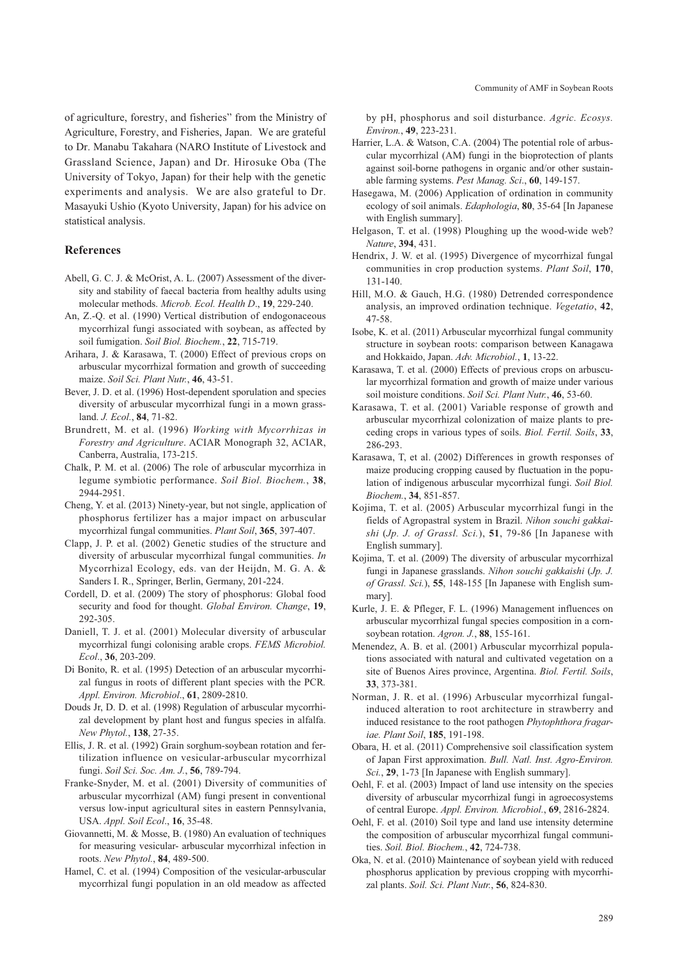of agriculture, forestry, and fisheries" from the Ministry of Agriculture, Forestry, and Fisheries, Japan. We are grateful to Dr. Manabu Takahara (NARO Institute of Livestock and Grassland Science, Japan) and Dr. Hirosuke Oba (The University of Tokyo, Japan) for their help with the genetic experiments and analysis. We are also grateful to Dr. Masayuki Ushio (Kyoto University, Japan) for his advice on statistical analysis.

## **References**

- Abell, G. C. J. & McOrist, A. L. (2007) Assessment of the diversity and stability of faecal bacteria from healthy adults using molecular methods. *Microb. Ecol. Health D*., **19**, 229-240.
- An, Z.-Q. et al. (1990) Vertical distribution of endogonaceous mycorrhizal fungi associated with soybean, as affected by soil fumigation. *Soil Biol. Biochem.*, **22**, 715-719.
- Arihara, J. & Karasawa, T. (2000) Effect of previous crops on arbuscular mycorrhizal formation and growth of succeeding maize. *Soil Sci. Plant Nutr.*, **46**, 43-51.
- Bever, J. D. et al. (1996) Host-dependent sporulation and species diversity of arbuscular mycorrhizal fungi in a mown grassland. *J. Ecol.*, **84**, 71-82.
- Brundrett, M. et al. (1996) *Working with Mycorrhizas in Forestry and Agriculture*. ACIAR Monograph 32, ACIAR, Canberra, Australia, 173-215.
- Chalk, P. M. et al. (2006) The role of arbuscular mycorrhiza in legume symbiotic performance. *Soil Biol. Biochem.*, **38**, 2944-2951.
- Cheng, Y. et al. (2013) Ninety-year, but not single, application of phosphorus fertilizer has a major impact on arbuscular mycorrhizal fungal communities. *Plant Soil*, **365**, 397-407.
- Clapp, J. P. et al. (2002) Genetic studies of the structure and diversity of arbuscular mycorrhizal fungal communities. *In* Mycorrhizal Ecology, eds. van der Heijdn, M. G. A. & Sanders I. R., Springer, Berlin, Germany, 201-224.
- Cordell, D. et al. (2009) The story of phosphorus: Global food security and food for thought. *Global Environ. Change*, **19**, 292-305.
- Daniell, T. J. et al. (2001) Molecular diversity of arbuscular mycorrhizal fungi colonising arable crops. *FEMS Microbiol. Ecol*., **36**, 203-209.
- Di Bonito, R. et al. (1995) Detection of an arbuscular mycorrhizal fungus in roots of different plant species with the PCR*. Appl. Environ. Microbiol*., **61**, 2809-2810.
- Douds Jr, D. D. et al. (1998) Regulation of arbuscular mycorrhizal development by plant host and fungus species in alfalfa. *New Phytol.*, **138**, 27-35.
- Ellis, J. R. et al. (1992) Grain sorghum-soybean rotation and fertilization influence on vesicular-arbuscular mycorrhizal fungi. *Soil Sci. Soc. Am. J.*, **56**, 789-794.
- Franke-Snyder, M. et al. (2001) Diversity of communities of arbuscular mycorrhizal (AM) fungi present in conventional versus low-input agricultural sites in eastern Pennsylvania, USA. *Appl. Soil Ecol*., **16**, 35-48.
- Giovannetti, M. & Mosse, B. (1980) An evaluation of techniques for measuring vesicular- arbuscular mycorrhizal infection in roots. *New Phytol.*, **84**, 489-500.
- Hamel, C. et al. (1994) Composition of the vesicular-arbuscular mycorrhizal fungi population in an old meadow as affected

by pH, phosphorus and soil disturbance. *Agric. Ecosys. Environ.*, **49**, 223-231.

- Harrier, L.A. & Watson, C.A. (2004) The potential role of arbuscular mycorrhizal (AM) fungi in the bioprotection of plants against soil-borne pathogens in organic and/or other sustainable farming systems. *Pest Manag. Sci*., **60**, 149-157.
- Hasegawa, M. (2006) Application of ordination in community ecology of soil animals. *Edaphologia*, **80**, 35-64 [In Japanese with English summary].
- Helgason, T. et al. (1998) Ploughing up the wood-wide web? *Nature*, **394**, 431.
- Hendrix, J. W. et al. (1995) Divergence of mycorrhizal fungal communities in crop production systems. *Plant Soil*, **170**, 131-140.
- Hill, M.O. & Gauch, H.G. (1980) Detrended correspondence analysis, an improved ordination technique. *Vegetatio*, **42**, 47-58.
- Isobe, K. et al. (2011) Arbuscular mycorrhizal fungal community structure in soybean roots: comparison between Kanagawa and Hokkaido, Japan. *Adv. Microbiol.*, **1**, 13-22.
- Karasawa, T. et al. (2000) Effects of previous crops on arbuscular mycorrhizal formation and growth of maize under various soil moisture conditions. *Soil Sci. Plant Nutr.*, **46**, 53-60.
- Karasawa, T. et al. (2001) Variable response of growth and arbuscular mycorrhizal colonization of maize plants to preceding crops in various types of soils. *Biol. Fertil. Soils*, **33**, 286-293.
- Karasawa, T, et al. (2002) Differences in growth responses of maize producing cropping caused by fluctuation in the population of indigenous arbuscular mycorrhizal fungi. *Soil Biol. Biochem.*, **34**, 851-857.
- Kojima, T. et al. (2005) Arbuscular mycorrhizal fungi in the fields of Agropastral system in Brazil. *Nihon souchi gakkaishi* (*Jp. J. of Grassl. Sci.*), **51**, 79-86 [In Japanese with English summary].
- Kojima, T. et al. (2009) The diversity of arbuscular mycorrhizal fungi in Japanese grasslands. *Nihon souchi gakkaishi* (*Jp. J. of Grassl. Sci.*), **55**, 148-155 [In Japanese with English summary].
- Kurle, J. E. & Pfleger, F. L. (1996) Management influences on arbuscular mycorrhizal fungal species composition in a cornsoybean rotation. *Agron. J.*, **88**, 155-161.
- Menendez, A. B. et al. (2001) Arbuscular mycorrhizal populations associated with natural and cultivated vegetation on a site of Buenos Aires province, Argentina. *Biol. Fertil. Soils*, **33**, 373-381.
- Norman, J. R. et al. (1996) Arbuscular mycorrhizal fungalinduced alteration to root architecture in strawberry and induced resistance to the root pathogen *Phytophthora fragariae. Plant Soil*, **185**, 191-198.
- Obara, H. et al. (2011) Comprehensive soil classification system of Japan First approximation. *Bull. Natl. Inst. Agro-Environ. Sci.*, **29**, 1-73 [In Japanese with English summary].
- Oehl, F. et al. (2003) Impact of land use intensity on the species diversity of arbuscular mycorrhizal fungi in agroecosystems of central Europe. *Appl. Environ. Microbiol.*, **69**, 2816-2824.
- Oehl, F. et al. (2010) Soil type and land use intensity determine the composition of arbuscular mycorrhizal fungal communities. *Soil. Biol. Biochem.*, **42**, 724-738.
- Oka, N. et al. (2010) Maintenance of soybean yield with reduced phosphorus application by previous cropping with mycorrhizal plants. *Soil. Sci. Plant Nutr.*, **56**, 824-830.